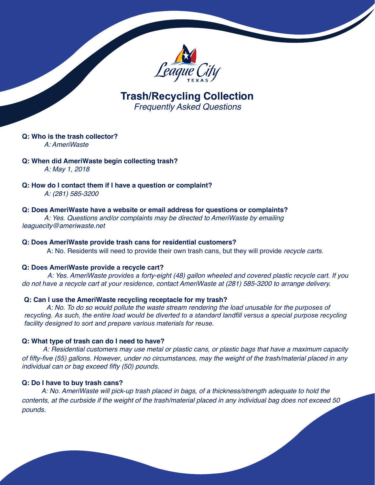

**Trash/Recycling Collection** *Frequently Asked Questions*

#### **Q: Who is the trash collector?** *A: AmeriWaste*

**Q: When did AmeriWaste begin collecting trash?**

*A: May 1, 2018*

**Q: How do I contact them if I have a question or complaint?** *A: (281) 585-3200*

## **Q: Does AmeriWaste have a website or email address for questions or complaints?**

*A: Yes. Questions and/or complaints may be directed to AmeriWaste by emailing [leaguecity@ameriwaste.net](mailto:leaguecity@ameriwaste.net)*

## **Q: Does AmeriWaste provide trash cans for residential customers?**

A: No. Residents will need to provide their own trash cans, but they will provide *recycle carts.*

## **Q: Does AmeriWaste provide a recycle cart?**

*A: Yes. AmeriWaste provides a forty-eight (48) gallon wheeled and covered plastic recycle cart. If you do not have a recycle cart at your residence, contact AmeriWaste at (281) 585-3200 to arrange delivery.*

# **Q: Can I use the AmeriWaste recycling receptacle for my trash?**

A: No. To do so would pollute the waste stream rendering the load unusable for the purposes of *recycling. As such, the entire load would be diverted to a standard landfill versus a special purpose recycling facility designed to sort and prepare various materials for reuse.*

# **Q: What type of trash can do I need to have?**

*A: Residential customers may use metal or plastic cans, or plastic bags that have a maximum capacity*  of fifty-five (55) gallons. However, under no circumstances, may the weight of the trash/material placed in any individual can or bag exceed fifty (50) pounds.

## **Q: Do I have to buy trash cans?**

*A: No. AmeriWaste will pick-up trash placed in bags, of a thickness/strength adequate to hold the contents, at the curbside if the weight of the trash/material placed in any individual bag does not exceed 50 pounds.*